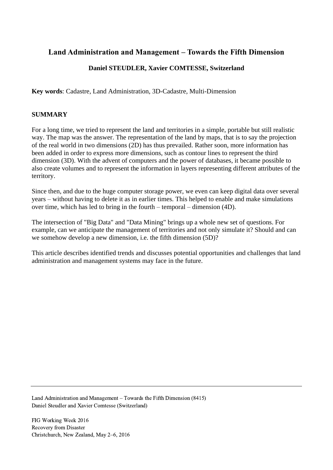# **Land Administration and Management – Towards the Fifth Dimension**

## **Daniel STEUDLER, Xavier COMTESSE, Switzerland**

**Key words**: Cadastre, Land Administration, 3D-Cadastre, Multi-Dimension

## **SUMMARY**

For a long time, we tried to represent the land and territories in a simple, portable but still realistic way. The map was the answer. The representation of the land by maps, that is to say the projection of the real world in two dimensions (2D) has thus prevailed. Rather soon, more information has been added in order to express more dimensions, such as contour lines to represent the third dimension (3D). With the advent of computers and the power of databases, it became possible to also create volumes and to represent the information in layers representing different attributes of the territory.

Since then, and due to the huge computer storage power, we even can keep digital data over several years – without having to delete it as in earlier times. This helped to enable and make simulations over time, which has led to bring in the fourth – temporal – dimension (4D).

The intersection of "Big Data" and "Data Mining" brings up a whole new set of questions. For example, can we anticipate the management of territories and not only simulate it? Should and can we somehow develop a new dimension, i.e. the fifth dimension (5D)?

This article describes identified trends and discusses potential opportunities and challenges that land administration and management systems may face in the future.

Land Administration and Management – Towards the Fifth Dimension (8415) Daniel Steudler and Xavier Comtesse (Switzerland)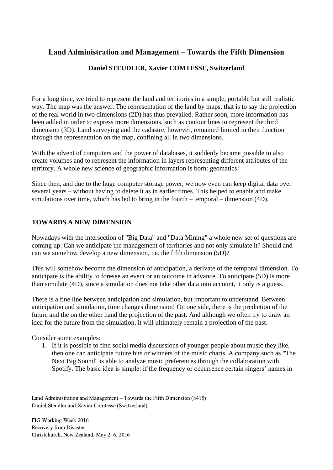# **Land Administration and Management – Towards the Fifth Dimension**

## **Daniel STEUDLER, Xavier COMTESSE, Switzerland**

For a long time, we tried to represent the land and territories in a simple, portable but still realistic way. The map was the answer. The representation of the land by maps, that is to say the projection of the real world in two dimensions (2D) has thus prevailed. Rather soon, more information has been added in order to express more dimensions, such as contour lines to represent the third dimension (3D). Land surveying and the cadastre, however, remained limited in their function through the representation on the map, confining all in two dimensions.

With the advent of computers and the power of databases, it suddenly became possible to also create volumes and to represent the information in layers representing different attributes of the territory. A whole new science of geographic information is born: geomatics!

Since then, and due to the huge computer storage power, we now even can keep digital data over several years – without having to delete it as in earlier times. This helped to enable and make simulations over time, which has led to bring in the fourth – temporal – dimension (4D).

#### **TOWARDS A NEW DIMENSION**

Nowadays with the intersection of "Big Data" and "Data Mining" a whole new set of questions are coming up: Can we anticipate the management of territories and not only simulate it? Should and can we somehow develop a new dimension, i.e. the fifth dimension (5D)?

This will somehow become the dimension of anticipation, a derivate of the temporal dimension. To anticipate is the ability to foresee an event or an outcome in advance. To anticipate (5D) is more than simulate (4D), since a simulation does not take other data into account, it only is a guess.

There is a fine line between anticipation and simulation, but important to understand. Between anticipation and simulation, time changes dimension! On one side, there is the prediction of the future and the on the other hand the projection of the past. And although we often try to draw an idea for the future from the simulation, it will ultimately remain a projection of the past.

Consider some examples:

1. If it is possible to find social media discussions of younger people about music they like, then one can anticipate future hits or winners of the music charts. A company such as "The Next Big Sound" is able to analyze music preferences through the collaboration with Spotify. The basic idea is simple: if the frequency or occurrence certain singers' names in

Land Administration and Management – Towards the Fifth Dimension (8415) Daniel Steudler and Xavier Comtesse (Switzerland)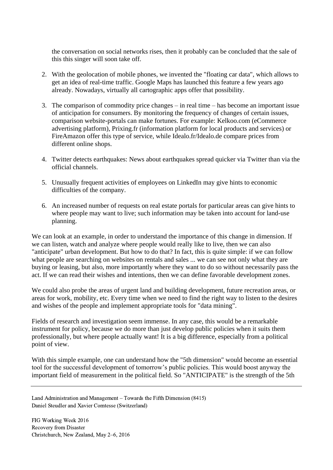the conversation on social networks rises, then it probably can be concluded that the sale of this this singer will soon take off.

- 2. With the geolocation of mobile phones, we invented the "floating car data", which allows to get an idea of real-time traffic. Google Maps has launched this feature a few years ago already. Nowadays, virtually all cartographic apps offer that possibility.
- 3. The comparison of commodity price changes in real time has become an important issue of anticipation for consumers. By monitoring the frequency of changes of certain issues, comparison website-portals can make fortunes. For example: Kelkoo.com (eCommerce advertising platform), Prixing.fr (information platform for local products and services) or FireAmazon offer this type of service, while Idealo.fr/Idealo.de compare prices from different online shops.
- 4. Twitter detects earthquakes: News about earthquakes spread quicker via Twitter than via the official channels.
- 5. Unusually frequent activities of employees on LinkedIn may give hints to economic difficulties of the company.
- 6. An increased number of requests on real estate portals for particular areas can give hints to where people may want to live; such information may be taken into account for land-use planning.

We can look at an example, in order to understand the importance of this change in dimension. If we can listen, watch and analyze where people would really like to live, then we can also "anticipate" urban development. But how to do that? In fact, this is quite simple: if we can follow what people are searching on websites on rentals and sales ... we can see not only what they are buying or leasing, but also, more importantly where they want to do so without necessarily pass the act. If we can read their wishes and intentions, then we can define favorable development zones.

We could also probe the areas of urgent land and building development, future recreation areas, or areas for work, mobility, etc. Every time when we need to find the right way to listen to the desires and wishes of the people and implement appropriate tools for "data mining".

Fields of research and investigation seem immense. In any case, this would be a remarkable instrument for policy, because we do more than just develop public policies when it suits them professionally, but where people actually want! It is a big difference, especially from a political point of view.

With this simple example, one can understand how the "5th dimension" would become an essential tool for the successful development of tomorrow's public policies. This would boost anyway the important field of measurement in the political field. So "ANTICIPATE" is the strength of the 5th

Land Administration and Management – Towards the Fifth Dimension (8415) Daniel Steudler and Xavier Comtesse (Switzerland)